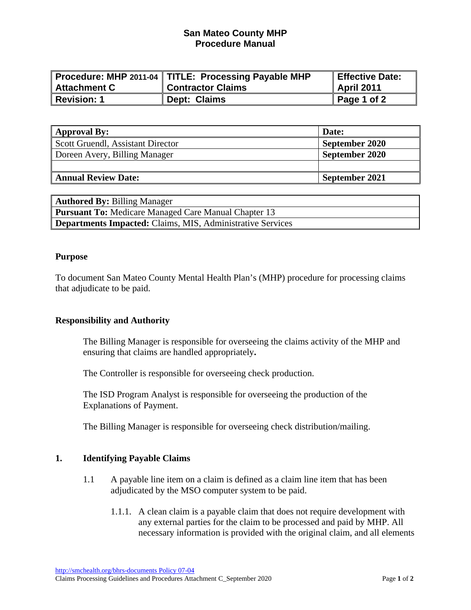## **San Mateo County MHP Procedure Manual**

|                | Procedure: MHP 2011-04   TITLE: Processing Payable MHP | Effective Date: |
|----------------|--------------------------------------------------------|-----------------|
| ∥ Attachment C | <b>Contractor Claims</b>                               | April 2011      |
| Revision: 1    | Dept: Claims                                           | Page 1 of 2     |

| <b>Approval By:</b>               | Date:          |
|-----------------------------------|----------------|
| Scott Gruendl, Assistant Director | September 2020 |
| Doreen Avery, Billing Manager     | September 2020 |
|                                   |                |
| <b>Annual Review Date:</b>        | September 2021 |

| <b>Authored By: Billing Manager</b>                               |  |  |  |
|-------------------------------------------------------------------|--|--|--|
| <b>Pursuant To:</b> Medicare Managed Care Manual Chapter 13       |  |  |  |
| <b>Departments Impacted:</b> Claims, MIS, Administrative Services |  |  |  |

#### **Purpose**

To document San Mateo County Mental Health Plan's (MHP) procedure for processing claims that adjudicate to be paid.

#### **Responsibility and Authority**

The Billing Manager is responsible for overseeing the claims activity of the MHP and ensuring that claims are handled appropriately**.** 

The Controller is responsible for overseeing check production.

The ISD Program Analyst is responsible for overseeing the production of the Explanations of Payment.

The Billing Manager is responsible for overseeing check distribution/mailing.

#### **1. Identifying Payable Claims**

- 1.1 A payable line item on a claim is defined as a claim line item that has been adjudicated by the MSO computer system to be paid.
	- 1.1.1. A clean claim is a payable claim that does not require development with any external parties for the claim to be processed and paid by MHP. All necessary information is provided with the original claim, and all elements